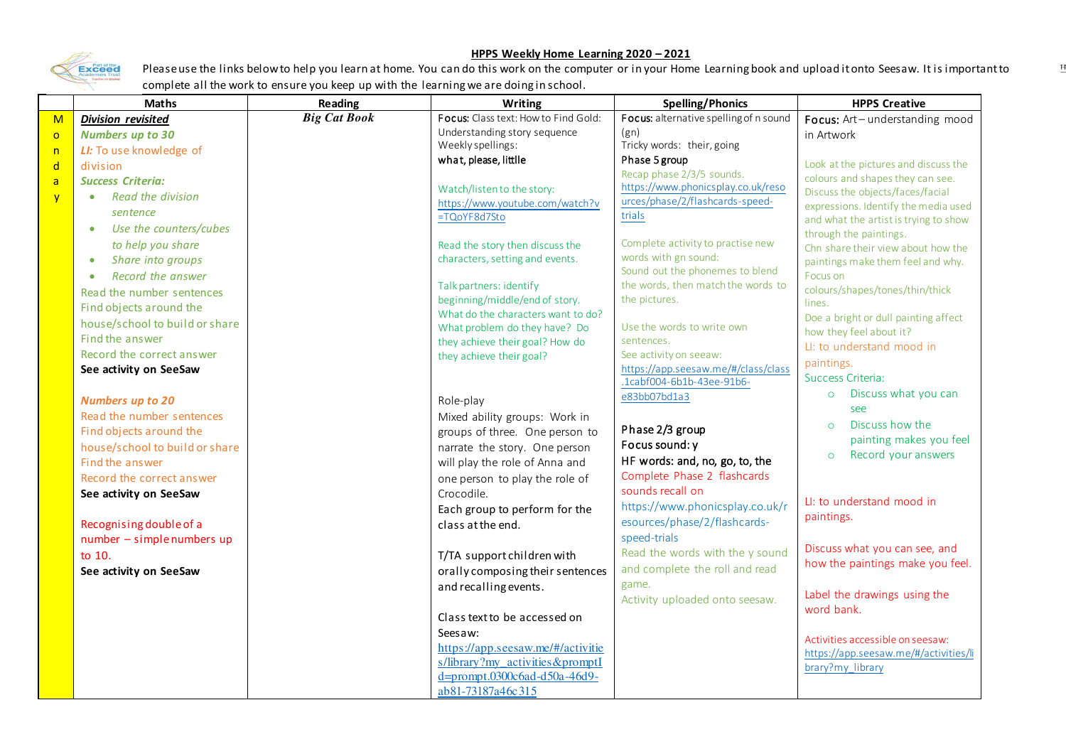

## **HPPS Weekly Home Learning 2020 – 2021**

 $\mathbb{H}%$ 

Please use the links below to help you learn at home. You can do this work on the computer or in your Home Learning book and upload it onto Seesaw. It is important to complete all the work to ensure you keep up with the learning we are doing in school.

| <b>Maths</b>                          | Reading                                                                                                                                                                                                                                                                                                                                                                                                                                                                                                                                               | Writing                              | <b>Spelling/Phonics</b>                                                                                                                                                                                                                                                                                                                                                                                                                                                                                                                                                                                                                                                                                                                                                                                                                                                                                                       | <b>HPPS Creative</b>                                                                                                                                                                                                                                                                                                                                                                                                                                                                                                                                                                                                                                                                                                                                                                             |
|---------------------------------------|-------------------------------------------------------------------------------------------------------------------------------------------------------------------------------------------------------------------------------------------------------------------------------------------------------------------------------------------------------------------------------------------------------------------------------------------------------------------------------------------------------------------------------------------------------|--------------------------------------|-------------------------------------------------------------------------------------------------------------------------------------------------------------------------------------------------------------------------------------------------------------------------------------------------------------------------------------------------------------------------------------------------------------------------------------------------------------------------------------------------------------------------------------------------------------------------------------------------------------------------------------------------------------------------------------------------------------------------------------------------------------------------------------------------------------------------------------------------------------------------------------------------------------------------------|--------------------------------------------------------------------------------------------------------------------------------------------------------------------------------------------------------------------------------------------------------------------------------------------------------------------------------------------------------------------------------------------------------------------------------------------------------------------------------------------------------------------------------------------------------------------------------------------------------------------------------------------------------------------------------------------------------------------------------------------------------------------------------------------------|
| <b>Division revisited</b>             |                                                                                                                                                                                                                                                                                                                                                                                                                                                                                                                                                       | Focus: Class text: How to Find Gold: |                                                                                                                                                                                                                                                                                                                                                                                                                                                                                                                                                                                                                                                                                                                                                                                                                                                                                                                               | Focus: Art-understanding mood                                                                                                                                                                                                                                                                                                                                                                                                                                                                                                                                                                                                                                                                                                                                                                    |
| <b>Numbers up to 30</b>               |                                                                                                                                                                                                                                                                                                                                                                                                                                                                                                                                                       |                                      |                                                                                                                                                                                                                                                                                                                                                                                                                                                                                                                                                                                                                                                                                                                                                                                                                                                                                                                               | in Artwork                                                                                                                                                                                                                                                                                                                                                                                                                                                                                                                                                                                                                                                                                                                                                                                       |
| LI: To use knowledge of               |                                                                                                                                                                                                                                                                                                                                                                                                                                                                                                                                                       |                                      |                                                                                                                                                                                                                                                                                                                                                                                                                                                                                                                                                                                                                                                                                                                                                                                                                                                                                                                               |                                                                                                                                                                                                                                                                                                                                                                                                                                                                                                                                                                                                                                                                                                                                                                                                  |
| division                              |                                                                                                                                                                                                                                                                                                                                                                                                                                                                                                                                                       |                                      |                                                                                                                                                                                                                                                                                                                                                                                                                                                                                                                                                                                                                                                                                                                                                                                                                                                                                                                               | Look at the pictures and discuss the                                                                                                                                                                                                                                                                                                                                                                                                                                                                                                                                                                                                                                                                                                                                                             |
| <b>Success Criteria:</b>              |                                                                                                                                                                                                                                                                                                                                                                                                                                                                                                                                                       |                                      |                                                                                                                                                                                                                                                                                                                                                                                                                                                                                                                                                                                                                                                                                                                                                                                                                                                                                                                               | colours and shapes they can see.                                                                                                                                                                                                                                                                                                                                                                                                                                                                                                                                                                                                                                                                                                                                                                 |
| <b>Read the division</b><br>$\bullet$ |                                                                                                                                                                                                                                                                                                                                                                                                                                                                                                                                                       |                                      |                                                                                                                                                                                                                                                                                                                                                                                                                                                                                                                                                                                                                                                                                                                                                                                                                                                                                                                               | Discuss the objects/faces/facial                                                                                                                                                                                                                                                                                                                                                                                                                                                                                                                                                                                                                                                                                                                                                                 |
| sentence                              |                                                                                                                                                                                                                                                                                                                                                                                                                                                                                                                                                       |                                      |                                                                                                                                                                                                                                                                                                                                                                                                                                                                                                                                                                                                                                                                                                                                                                                                                                                                                                                               | expressions. Identify the media used                                                                                                                                                                                                                                                                                                                                                                                                                                                                                                                                                                                                                                                                                                                                                             |
| $\bullet$                             |                                                                                                                                                                                                                                                                                                                                                                                                                                                                                                                                                       |                                      |                                                                                                                                                                                                                                                                                                                                                                                                                                                                                                                                                                                                                                                                                                                                                                                                                                                                                                                               | and what the artist is trying to show                                                                                                                                                                                                                                                                                                                                                                                                                                                                                                                                                                                                                                                                                                                                                            |
|                                       |                                                                                                                                                                                                                                                                                                                                                                                                                                                                                                                                                       |                                      |                                                                                                                                                                                                                                                                                                                                                                                                                                                                                                                                                                                                                                                                                                                                                                                                                                                                                                                               | through the paintings.<br>Chn share their view about how the                                                                                                                                                                                                                                                                                                                                                                                                                                                                                                                                                                                                                                                                                                                                     |
| $\bullet$                             |                                                                                                                                                                                                                                                                                                                                                                                                                                                                                                                                                       | characters, setting and events.      | words with gn sound:                                                                                                                                                                                                                                                                                                                                                                                                                                                                                                                                                                                                                                                                                                                                                                                                                                                                                                          | paintings make them feel and why.                                                                                                                                                                                                                                                                                                                                                                                                                                                                                                                                                                                                                                                                                                                                                                |
| $\bullet$                             |                                                                                                                                                                                                                                                                                                                                                                                                                                                                                                                                                       |                                      | Sound out the phonemes to blend                                                                                                                                                                                                                                                                                                                                                                                                                                                                                                                                                                                                                                                                                                                                                                                                                                                                                               | Focus on                                                                                                                                                                                                                                                                                                                                                                                                                                                                                                                                                                                                                                                                                                                                                                                         |
|                                       |                                                                                                                                                                                                                                                                                                                                                                                                                                                                                                                                                       |                                      |                                                                                                                                                                                                                                                                                                                                                                                                                                                                                                                                                                                                                                                                                                                                                                                                                                                                                                                               | colours/shapes/tones/thin/thick                                                                                                                                                                                                                                                                                                                                                                                                                                                                                                                                                                                                                                                                                                                                                                  |
|                                       |                                                                                                                                                                                                                                                                                                                                                                                                                                                                                                                                                       |                                      |                                                                                                                                                                                                                                                                                                                                                                                                                                                                                                                                                                                                                                                                                                                                                                                                                                                                                                                               | lines.                                                                                                                                                                                                                                                                                                                                                                                                                                                                                                                                                                                                                                                                                                                                                                                           |
|                                       |                                                                                                                                                                                                                                                                                                                                                                                                                                                                                                                                                       |                                      |                                                                                                                                                                                                                                                                                                                                                                                                                                                                                                                                                                                                                                                                                                                                                                                                                                                                                                                               | Doe a bright or dull painting affect                                                                                                                                                                                                                                                                                                                                                                                                                                                                                                                                                                                                                                                                                                                                                             |
|                                       |                                                                                                                                                                                                                                                                                                                                                                                                                                                                                                                                                       |                                      |                                                                                                                                                                                                                                                                                                                                                                                                                                                                                                                                                                                                                                                                                                                                                                                                                                                                                                                               | how they feel about it?                                                                                                                                                                                                                                                                                                                                                                                                                                                                                                                                                                                                                                                                                                                                                                          |
|                                       |                                                                                                                                                                                                                                                                                                                                                                                                                                                                                                                                                       |                                      |                                                                                                                                                                                                                                                                                                                                                                                                                                                                                                                                                                                                                                                                                                                                                                                                                                                                                                                               | LI: to understand mood in                                                                                                                                                                                                                                                                                                                                                                                                                                                                                                                                                                                                                                                                                                                                                                        |
|                                       |                                                                                                                                                                                                                                                                                                                                                                                                                                                                                                                                                       |                                      |                                                                                                                                                                                                                                                                                                                                                                                                                                                                                                                                                                                                                                                                                                                                                                                                                                                                                                                               | paintings.                                                                                                                                                                                                                                                                                                                                                                                                                                                                                                                                                                                                                                                                                                                                                                                       |
|                                       |                                                                                                                                                                                                                                                                                                                                                                                                                                                                                                                                                       |                                      |                                                                                                                                                                                                                                                                                                                                                                                                                                                                                                                                                                                                                                                                                                                                                                                                                                                                                                                               | Success Criteria:                                                                                                                                                                                                                                                                                                                                                                                                                                                                                                                                                                                                                                                                                                                                                                                |
|                                       |                                                                                                                                                                                                                                                                                                                                                                                                                                                                                                                                                       |                                      |                                                                                                                                                                                                                                                                                                                                                                                                                                                                                                                                                                                                                                                                                                                                                                                                                                                                                                                               | Discuss what you can<br>$\circ$                                                                                                                                                                                                                                                                                                                                                                                                                                                                                                                                                                                                                                                                                                                                                                  |
|                                       |                                                                                                                                                                                                                                                                                                                                                                                                                                                                                                                                                       |                                      |                                                                                                                                                                                                                                                                                                                                                                                                                                                                                                                                                                                                                                                                                                                                                                                                                                                                                                                               | see                                                                                                                                                                                                                                                                                                                                                                                                                                                                                                                                                                                                                                                                                                                                                                                              |
|                                       |                                                                                                                                                                                                                                                                                                                                                                                                                                                                                                                                                       |                                      |                                                                                                                                                                                                                                                                                                                                                                                                                                                                                                                                                                                                                                                                                                                                                                                                                                                                                                                               | Discuss how the<br>$\circ$                                                                                                                                                                                                                                                                                                                                                                                                                                                                                                                                                                                                                                                                                                                                                                       |
|                                       |                                                                                                                                                                                                                                                                                                                                                                                                                                                                                                                                                       |                                      |                                                                                                                                                                                                                                                                                                                                                                                                                                                                                                                                                                                                                                                                                                                                                                                                                                                                                                                               | painting makes you feel                                                                                                                                                                                                                                                                                                                                                                                                                                                                                                                                                                                                                                                                                                                                                                          |
|                                       |                                                                                                                                                                                                                                                                                                                                                                                                                                                                                                                                                       |                                      |                                                                                                                                                                                                                                                                                                                                                                                                                                                                                                                                                                                                                                                                                                                                                                                                                                                                                                                               | Record your answers<br>$\circ$                                                                                                                                                                                                                                                                                                                                                                                                                                                                                                                                                                                                                                                                                                                                                                   |
|                                       |                                                                                                                                                                                                                                                                                                                                                                                                                                                                                                                                                       |                                      |                                                                                                                                                                                                                                                                                                                                                                                                                                                                                                                                                                                                                                                                                                                                                                                                                                                                                                                               |                                                                                                                                                                                                                                                                                                                                                                                                                                                                                                                                                                                                                                                                                                                                                                                                  |
|                                       |                                                                                                                                                                                                                                                                                                                                                                                                                                                                                                                                                       |                                      |                                                                                                                                                                                                                                                                                                                                                                                                                                                                                                                                                                                                                                                                                                                                                                                                                                                                                                                               |                                                                                                                                                                                                                                                                                                                                                                                                                                                                                                                                                                                                                                                                                                                                                                                                  |
|                                       |                                                                                                                                                                                                                                                                                                                                                                                                                                                                                                                                                       |                                      |                                                                                                                                                                                                                                                                                                                                                                                                                                                                                                                                                                                                                                                                                                                                                                                                                                                                                                                               | LI: to understand mood in                                                                                                                                                                                                                                                                                                                                                                                                                                                                                                                                                                                                                                                                                                                                                                        |
|                                       |                                                                                                                                                                                                                                                                                                                                                                                                                                                                                                                                                       |                                      |                                                                                                                                                                                                                                                                                                                                                                                                                                                                                                                                                                                                                                                                                                                                                                                                                                                                                                                               | paintings.                                                                                                                                                                                                                                                                                                                                                                                                                                                                                                                                                                                                                                                                                                                                                                                       |
|                                       |                                                                                                                                                                                                                                                                                                                                                                                                                                                                                                                                                       |                                      |                                                                                                                                                                                                                                                                                                                                                                                                                                                                                                                                                                                                                                                                                                                                                                                                                                                                                                                               |                                                                                                                                                                                                                                                                                                                                                                                                                                                                                                                                                                                                                                                                                                                                                                                                  |
|                                       |                                                                                                                                                                                                                                                                                                                                                                                                                                                                                                                                                       |                                      |                                                                                                                                                                                                                                                                                                                                                                                                                                                                                                                                                                                                                                                                                                                                                                                                                                                                                                                               | Discuss what you can see, and                                                                                                                                                                                                                                                                                                                                                                                                                                                                                                                                                                                                                                                                                                                                                                    |
|                                       |                                                                                                                                                                                                                                                                                                                                                                                                                                                                                                                                                       |                                      |                                                                                                                                                                                                                                                                                                                                                                                                                                                                                                                                                                                                                                                                                                                                                                                                                                                                                                                               | how the paintings make you feel.                                                                                                                                                                                                                                                                                                                                                                                                                                                                                                                                                                                                                                                                                                                                                                 |
|                                       |                                                                                                                                                                                                                                                                                                                                                                                                                                                                                                                                                       |                                      |                                                                                                                                                                                                                                                                                                                                                                                                                                                                                                                                                                                                                                                                                                                                                                                                                                                                                                                               |                                                                                                                                                                                                                                                                                                                                                                                                                                                                                                                                                                                                                                                                                                                                                                                                  |
|                                       |                                                                                                                                                                                                                                                                                                                                                                                                                                                                                                                                                       |                                      |                                                                                                                                                                                                                                                                                                                                                                                                                                                                                                                                                                                                                                                                                                                                                                                                                                                                                                                               | Label the drawings using the                                                                                                                                                                                                                                                                                                                                                                                                                                                                                                                                                                                                                                                                                                                                                                     |
|                                       |                                                                                                                                                                                                                                                                                                                                                                                                                                                                                                                                                       |                                      |                                                                                                                                                                                                                                                                                                                                                                                                                                                                                                                                                                                                                                                                                                                                                                                                                                                                                                                               | word bank.                                                                                                                                                                                                                                                                                                                                                                                                                                                                                                                                                                                                                                                                                                                                                                                       |
|                                       |                                                                                                                                                                                                                                                                                                                                                                                                                                                                                                                                                       |                                      |                                                                                                                                                                                                                                                                                                                                                                                                                                                                                                                                                                                                                                                                                                                                                                                                                                                                                                                               |                                                                                                                                                                                                                                                                                                                                                                                                                                                                                                                                                                                                                                                                                                                                                                                                  |
|                                       |                                                                                                                                                                                                                                                                                                                                                                                                                                                                                                                                                       |                                      |                                                                                                                                                                                                                                                                                                                                                                                                                                                                                                                                                                                                                                                                                                                                                                                                                                                                                                                               | Activities accessible on seesaw:                                                                                                                                                                                                                                                                                                                                                                                                                                                                                                                                                                                                                                                                                                                                                                 |
|                                       |                                                                                                                                                                                                                                                                                                                                                                                                                                                                                                                                                       |                                      |                                                                                                                                                                                                                                                                                                                                                                                                                                                                                                                                                                                                                                                                                                                                                                                                                                                                                                                               | https://app.seesaw.me/#/activities/li                                                                                                                                                                                                                                                                                                                                                                                                                                                                                                                                                                                                                                                                                                                                                            |
|                                       |                                                                                                                                                                                                                                                                                                                                                                                                                                                                                                                                                       |                                      |                                                                                                                                                                                                                                                                                                                                                                                                                                                                                                                                                                                                                                                                                                                                                                                                                                                                                                                               | brary?my_library                                                                                                                                                                                                                                                                                                                                                                                                                                                                                                                                                                                                                                                                                                                                                                                 |
|                                       |                                                                                                                                                                                                                                                                                                                                                                                                                                                                                                                                                       |                                      |                                                                                                                                                                                                                                                                                                                                                                                                                                                                                                                                                                                                                                                                                                                                                                                                                                                                                                                               |                                                                                                                                                                                                                                                                                                                                                                                                                                                                                                                                                                                                                                                                                                                                                                                                  |
|                                       | Use the counters/cubes<br>to help you share<br>Share into groups<br>Record the answer<br>Read the number sentences<br>Find objects around the<br>house/school to build or share<br>Find the answer<br>Record the correct answer<br>See activity on SeeSaw<br><b>Numbers up to 20</b><br>Read the number sentences<br>Find objects around the<br>house/school to build or share<br>Find the answer<br>Record the correct answer<br>See activity on SeeSaw<br>Recognising double of a<br>number - simple numbers up<br>to 10.<br>See activity on SeeSaw | <b>Big Cat Book</b>                  | Understanding story sequence<br>Weekly spellings:<br>what, please, littlle<br>Watch/listen to the story:<br>https://www.youtube.com/watch?v<br>=TQoYF8d7Sto<br>Read the story then discuss the<br>Talk partners: identify<br>beginning/middle/end of story.<br>What do the characters want to do?<br>What problem do they have? Do<br>they achieve their goal? How do<br>they achieve their goal?<br>Role-play<br>Mixed ability groups: Work in<br>groups of three. One person to<br>narrate the story. One person<br>will play the role of Anna and<br>one person to play the role of<br>Crocodile.<br>Each group to perform for the<br>class at the end.<br>T/TA support children with<br>orally composing their sentences<br>and recalling events.<br>Class text to be accessed on<br>Seesaw:<br>https://app.seesaw.me/#/activitie<br>s/library?my activities&promptI<br>d=prompt.0300c6ad-d50a-46d9-<br>ab81-73187a46c315 | Focus: alternative spelling of n sound<br>(gn)<br>Tricky words: their, going<br>Phase 5 group<br>Recap phase 2/3/5 sounds.<br>https://www.phonicsplay.co.uk/reso<br>urces/phase/2/flashcards-speed-<br>trials<br>Complete activity to practise new<br>the words, then match the words to<br>the pictures.<br>Use the words to write own<br>sentences.<br>See activity on seeaw:<br>https://app.seesaw.me/#/class/class<br>.1cabf004-6b1b-43ee-91b6-<br>e83bb07bd1a3<br>Phase 2/3 group<br>Focus sound: y<br>HF words: and, no, go, to, the<br>Complete Phase 2 flashcards<br>sounds recall on<br>https://www.phonicsplay.co.uk/r<br>esources/phase/2/flashcards-<br>speed-trials<br>Read the words with the y sound<br>and complete the roll and read<br>game.<br>Activity uploaded onto seesaw. |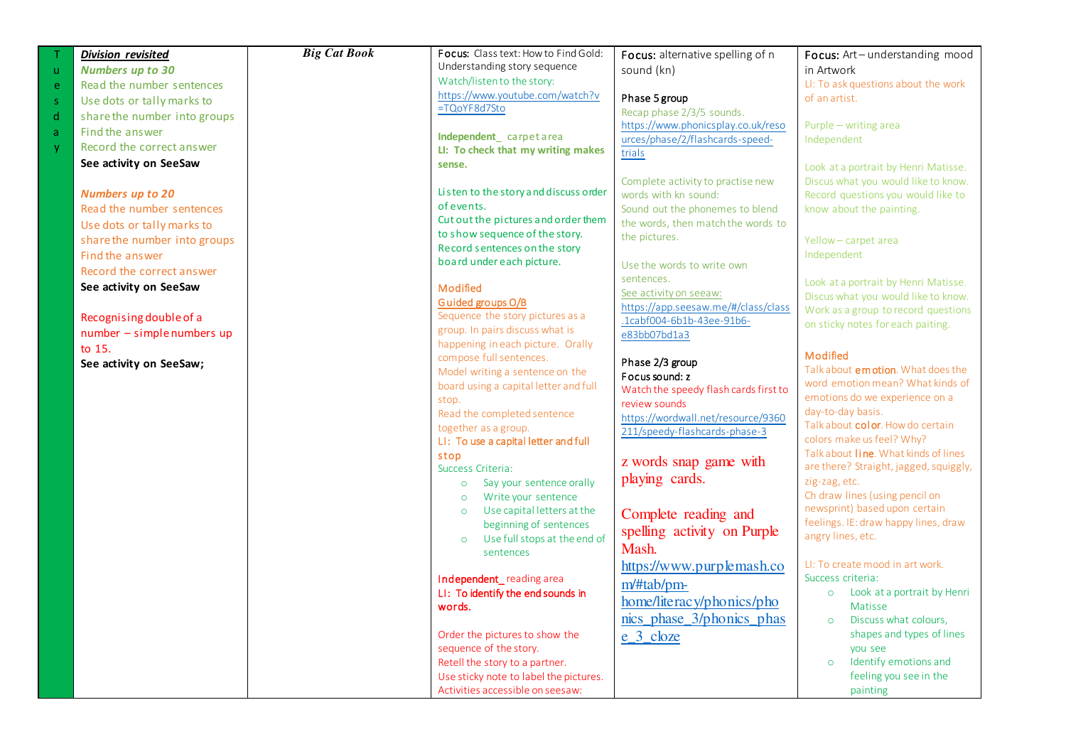|             | <b>Division revisited</b>    | <b>Big Cat Book</b> | Focus: Class text: How to Find Gold:                         | Focus: alternative spelling of n                                    | Focus: Art-understanding mood                                             |
|-------------|------------------------------|---------------------|--------------------------------------------------------------|---------------------------------------------------------------------|---------------------------------------------------------------------------|
| $\mathbf u$ | <b>Numbers up to 30</b>      |                     | Understanding story sequence                                 | sound (kn)                                                          | in Artwork                                                                |
| e           | Read the number sentences    |                     | Watch/listen to the story:                                   |                                                                     | LI: To ask questions about the work                                       |
| $\mathsf S$ | Use dots or tally marks to   |                     | https://www.youtube.com/watch?v                              | Phase 5 group                                                       | of an artist.                                                             |
| d           | share the number into groups |                     | =TQoYF8d7Sto                                                 | Recap phase 2/3/5 sounds.                                           |                                                                           |
| a           | Find the answer              |                     |                                                              | https://www.phonicsplay.co.uk/reso                                  | Purple - writing area                                                     |
| y           | Record the correct answer    |                     | Independent_carpetarea<br>LI: To check that my writing makes | urces/phase/2/flashcards-speed-                                     | Independent                                                               |
|             | See activity on SeeSaw       |                     | sense.                                                       | trials                                                              |                                                                           |
|             |                              |                     |                                                              |                                                                     | Look at a portrait by Henri Matisse.                                      |
|             | <b>Numbers up to 20</b>      |                     | Listen to the story and discuss order                        | Complete activity to practise new<br>words with kn sound:           | Discus what you would like to know.<br>Record questions you would like to |
|             | Read the number sentences    |                     | of events.                                                   | Sound out the phonemes to blend                                     | know about the painting.                                                  |
|             |                              |                     | Cut out the pictures and order them                          | the words, then match the words to                                  |                                                                           |
|             | Use dots or tally marks to   |                     | to show sequence of the story.                               | the pictures.                                                       |                                                                           |
|             | share the number into groups |                     | Record sentences on the story                                |                                                                     | Yellow-carpet area                                                        |
|             | Find the answer              |                     | board under each picture.                                    | Use the words to write own                                          | Independent                                                               |
|             | Record the correct answer    |                     |                                                              | sentences.                                                          | Look at a portrait by Henri Matisse.                                      |
|             | See activity on SeeSaw       |                     | Modified                                                     | See activity on seeaw:                                              | Discus what you would like to know.                                       |
|             |                              |                     | Guided groups O/B                                            | https://app.seesaw.me/#/class/class                                 | Work as a group to record questions                                       |
|             | Recognising double of a      |                     | Sequence the story pictures as a                             | .1cabf004-6b1b-43ee-91b6-                                           | on sticky notes for each paiting.                                         |
|             | $number - simple numbers up$ |                     | group. In pairs discuss what is                              | e83bb07bd1a3                                                        |                                                                           |
|             | to 15.                       |                     | happening in each picture. Orally                            |                                                                     | Modified                                                                  |
|             | See activity on SeeSaw;      |                     | compose full sentences.<br>Model writing a sentence on the   | Phase 2/3 group                                                     | Talk about emotion. What does the                                         |
|             |                              |                     | board using a capital letter and full                        | Focus sound: z                                                      | word emotion mean? What kinds of                                          |
|             |                              |                     | stop.                                                        | Watch the speedy flash cards first to                               | emotions do we experience on a                                            |
|             |                              |                     | Read the completed sentence                                  | review sounds                                                       | day-to-day basis.                                                         |
|             |                              |                     | together as a group.                                         | https://wordwall.net/resource/9360<br>211/speedy-flashcards-phase-3 | Talk about color. How do certain                                          |
|             |                              |                     | LI: To use a capital letter and full                         |                                                                     | colors make us feel? Why?                                                 |
|             |                              |                     | stop                                                         |                                                                     | Talk about line. What kinds of lines                                      |
|             |                              |                     | Success Criteria:                                            | z words snap game with                                              | are there? Straight, jagged, squiggly,                                    |
|             |                              |                     | Say your sentence orally<br>$\circ$                          | playing cards.                                                      | zig-zag, etc.                                                             |
|             |                              |                     | Write your sentence<br>$\circ$                               |                                                                     | Ch draw lines (using pencil on                                            |
|             |                              |                     | Use capital letters at the<br>$\circ$                        | Complete reading and                                                | newsprint) based upon certain                                             |
|             |                              |                     | beginning of sentences                                       | spelling activity on Purple                                         | feelings. IE: draw happy lines, draw                                      |
|             |                              |                     | Use full stops at the end of<br>$\circ$                      | Mash.                                                               | angry lines, etc.                                                         |
|             |                              |                     | sentences                                                    |                                                                     | LI: To create mood in art work.                                           |
|             |                              |                     | Independent_reading area                                     | https://www.purplemash.co                                           | Success criteria:                                                         |
|             |                              |                     | LI: To identify the end sounds in                            | m/#tab/pm-                                                          | o Look at a portrait by Henri                                             |
|             |                              |                     | words.                                                       | home/literacy/phonics/pho                                           | Matisse                                                                   |
|             |                              |                     |                                                              | nics_phase_3/phonics_phas                                           | Discuss what colours,<br>$\circ$                                          |
|             |                              |                     | Order the pictures to show the                               | e 3 cloze                                                           | shapes and types of lines                                                 |
|             |                              |                     | sequence of the story.                                       |                                                                     | you see                                                                   |
|             |                              |                     | Retell the story to a partner.                               |                                                                     | Identify emotions and<br>$\circ$                                          |
|             |                              |                     | Use sticky note to label the pictures.                       |                                                                     | feeling you see in the                                                    |
|             |                              |                     | Activities accessible on seesaw:                             |                                                                     | painting                                                                  |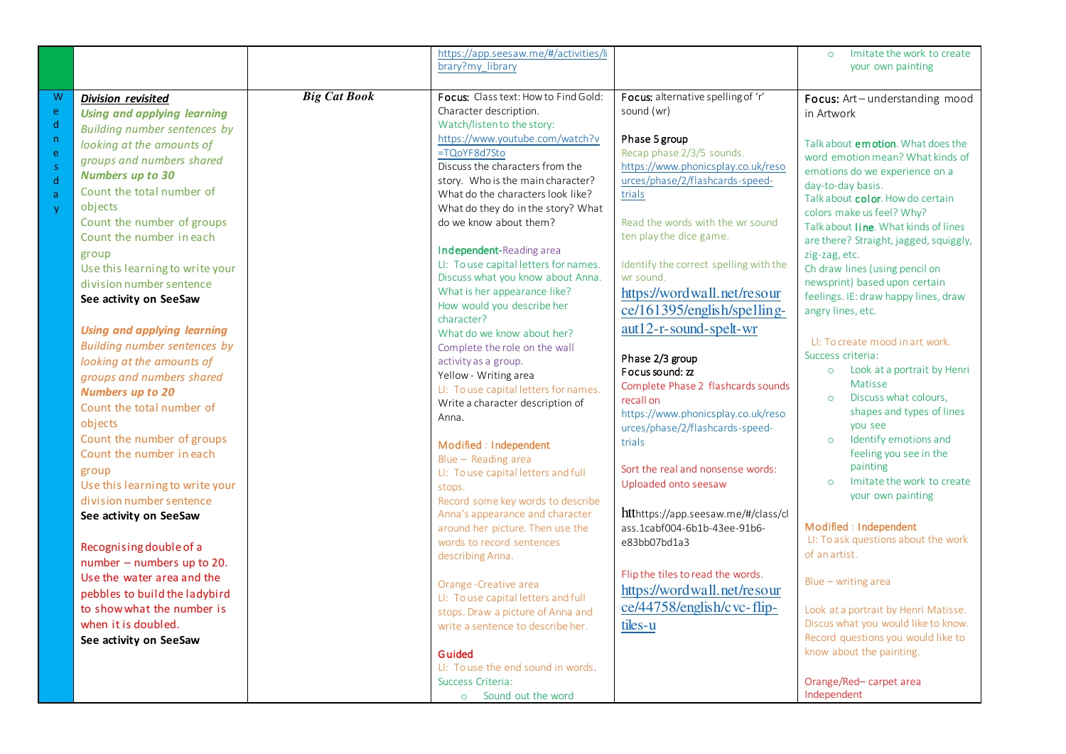|                                                                                    |                                                                                                                                                                                                                                                                                                                                                                                                         |                     | https://app.seesaw.me/#/activities/li<br>brary?my library                                                                                                                                                                                                                                                                                                                                                                                                                                  |                                                                                                                                                                                                                                                                                                                                                                                      | Imitate the work to create<br>$\circ$<br>your own painting                                                                                                                                                                                                                                                                                                                                                                                                |
|------------------------------------------------------------------------------------|---------------------------------------------------------------------------------------------------------------------------------------------------------------------------------------------------------------------------------------------------------------------------------------------------------------------------------------------------------------------------------------------------------|---------------------|--------------------------------------------------------------------------------------------------------------------------------------------------------------------------------------------------------------------------------------------------------------------------------------------------------------------------------------------------------------------------------------------------------------------------------------------------------------------------------------------|--------------------------------------------------------------------------------------------------------------------------------------------------------------------------------------------------------------------------------------------------------------------------------------------------------------------------------------------------------------------------------------|-----------------------------------------------------------------------------------------------------------------------------------------------------------------------------------------------------------------------------------------------------------------------------------------------------------------------------------------------------------------------------------------------------------------------------------------------------------|
| W<br>e<br>$\mathsf{d}$<br>$\mathsf{n}$<br>e<br>s.<br>d<br>$\mathsf{a}$<br><b>y</b> | <b>Division revisited</b><br><b>Using and applying learning</b><br>Building number sentences by<br>looking at the amounts of<br>groups and numbers shared<br><b>Numbers up to 30</b><br>Count the total number of<br>objects<br>Count the number of groups<br>Count the number in each                                                                                                                  | <b>Big Cat Book</b> | <b>Focus:</b> Class text: How to Find Gold:<br>Character description.<br>Watch/listen to the story:<br>https://www.youtube.com/watch?v<br>=TQoYF8d7Sto<br>Discuss the characters from the<br>story. Who is the main character?<br>What do the characters look like?<br>What do they do in the story? What<br>do we know about them?                                                                                                                                                        | Focus: alternative spelling of 'r'<br>sound (wr)<br>Phase 5 group<br>Recap phase 2/3/5 sounds.<br>https://www.phonicsplay.co.uk/reso<br>urces/phase/2/flashcards-speed-<br>trials<br>Read the words with the wr sound<br>ten play the dice game.                                                                                                                                     | Focus: Art-understanding mood<br>in Artwork<br>Talk about emotion. What does the<br>word emotion mean? What kinds of<br>emotions do we experience on a<br>day-to-day basis.<br>Talk about color. How do certain<br>colors make us feel? Why?<br>Talk about line. What kinds of lines<br>are there? Straight, jagged, squiggly,                                                                                                                            |
|                                                                                    | group<br>Use this learning to write your<br>division number sentence<br>See activity on SeeSaw<br><b>Using and applying learning</b><br>Building number sentences by<br>looking at the amounts of<br>groups and numbers shared<br><b>Numbers up to 20</b><br>Count the total number of<br>objects<br>Count the number of groups<br>Count the number in each<br>group<br>Use this learning to write your |                     | Independent-Reading area<br>LI: To use capital letters for names.<br>Discuss what you know about Anna.<br>What is her appearance like?<br>How would you describe her<br>character?<br>What do we know about her?<br>Complete the role on the wall<br>activity as a group.<br>Yellow - Writing area<br>LI: To use capital letters for names.<br>Write a character description of<br>Anna.<br>Modified : Independent<br>Blue - Reading area<br>LI: To use capital letters and full<br>stops. | Identify the correct spelling with the<br>wr sound.<br>https://wordwall.net/resour<br>ce/161395/english/spelling-<br>aut12-r-sound-spelt-wr<br>Phase 2/3 group<br>Focus sound: zz<br>Complete Phase 2 flashcards sounds<br>recall on<br>https://www.phonicsplay.co.uk/reso<br>urces/phase/2/flashcards-speed-<br>trials<br>Sort the real and nonsense words:<br>Uploaded onto seesaw | zig-zag, etc.<br>Ch draw lines (using pencil on<br>newsprint) based upon certain<br>feelings. IE: draw happy lines, draw<br>angry lines, etc.<br>LI: To create mood in art work.<br>Success criteria:<br>Look at a portrait by Henri<br>$\circ$<br>Matisse<br>Discuss what colours,<br>$\circ$<br>shapes and types of lines<br>you see<br>Identify emotions and<br>$\circ$<br>feeling you see in the<br>painting<br>Imitate the work to create<br>$\circ$ |
|                                                                                    | division number sentence<br>See activity on SeeSaw<br>Recognising double of a<br>number - numbers up to 20.<br>Use the water area and the<br>pebbles to build the ladybird<br>to show what the number is<br>when it is doubled.<br>See activity on SeeSaw                                                                                                                                               |                     | Record some key words to describe<br>Anna's appearance and character<br>around her picture. Then use the<br>words to record sentences<br>describing Anna.<br>Orange-Creative area<br>LI: To use capital letters and full<br>stops. Draw a picture of Anna and<br>write a sentence to describe her.<br>Guided<br>LI: To use the end sound in words.<br>Success Criteria:<br>o Sound out the word                                                                                            | htthttps://app.seesaw.me/#/class/cl<br>ass.1cabf004-6b1b-43ee-91b6-<br>e83bb07bd1a3<br>Flip the tiles to read the words.<br>https://wordwall.net/resour<br>ce/44758/english/cvc-flip-<br>tiles-u                                                                                                                                                                                     | your own painting<br>Modified : Independent<br>LI: To ask questions about the work<br>of an artist.<br>$Blue - writing area$<br>Look at a portrait by Henri Matisse.<br>Discus what you would like to know.<br>Record questions you would like to<br>know about the painting.<br>Orange/Red-carpet area<br>Independent                                                                                                                                    |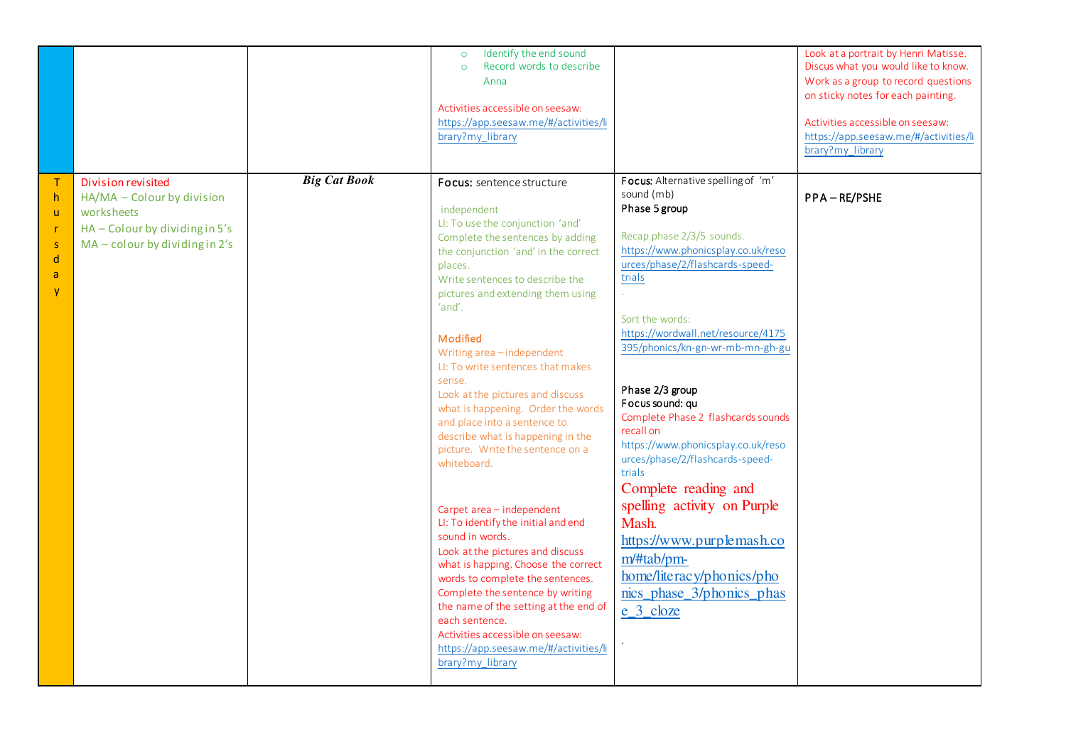|                                                                                                    |                                                                                                                                             |                     | Identify the end sound<br>$\circ$<br>Record words to describe<br>$\circ$<br>Anna<br>Activities accessible on seesaw:<br>https://app.seesaw.me/#/activities/li<br>brary?my_library                                                                                                                                                                                                                                                                                                                                                                                                                                                                                                                                                                                                                                                                                                                                                                    |                                                                                                                                                                                                                                                                                                                                                                                                                                                                                                                                                                                                                                                        | Look at a portrait by Henri Matisse.<br>Discus what you would like to know.<br>Work as a group to record questions<br>on sticky notes for each painting.<br>Activities accessible on seesaw:<br>https://app.seesaw.me/#/activities/li<br>brary?my_library |
|----------------------------------------------------------------------------------------------------|---------------------------------------------------------------------------------------------------------------------------------------------|---------------------|------------------------------------------------------------------------------------------------------------------------------------------------------------------------------------------------------------------------------------------------------------------------------------------------------------------------------------------------------------------------------------------------------------------------------------------------------------------------------------------------------------------------------------------------------------------------------------------------------------------------------------------------------------------------------------------------------------------------------------------------------------------------------------------------------------------------------------------------------------------------------------------------------------------------------------------------------|--------------------------------------------------------------------------------------------------------------------------------------------------------------------------------------------------------------------------------------------------------------------------------------------------------------------------------------------------------------------------------------------------------------------------------------------------------------------------------------------------------------------------------------------------------------------------------------------------------------------------------------------------------|-----------------------------------------------------------------------------------------------------------------------------------------------------------------------------------------------------------------------------------------------------------|
| T<br>h<br>$\mathsf{u}$<br>$\mathsf{r}$<br>$\mathsf{s}$<br>$\mathsf{d}$<br>$\mathsf{a}$<br><b>y</b> | <b>Division revisited</b><br>HA/MA - Colour by division<br>worksheets<br>HA - Colour by dividing in 5's<br>$MA$ – colour by dividing in 2's | <b>Big Cat Book</b> | Focus: sentence structure<br>independent<br>LI: To use the conjunction 'and'<br>Complete the sentences by adding<br>the conjunction 'and' in the correct<br>places.<br>Write sentences to describe the<br>pictures and extending them using<br>'and'.<br>Modified<br>Writing area-independent<br>LI: To write sentences that makes<br>sense.<br>Look at the pictures and discuss<br>what is happening. Order the words<br>and place into a sentence to<br>describe what is happening in the<br>picture. Write the sentence on a<br>whiteboard.<br>Carpet area - independent<br>LI: To identify the initial and end<br>sound in words.<br>Look at the pictures and discuss<br>what is happing. Choose the correct<br>words to complete the sentences.<br>Complete the sentence by writing<br>the name of the setting at the end of<br>each sentence.<br>Activities accessible on seesaw:<br>https://app.seesaw.me/#/activities/li<br>brary?my_library | Focus: Alternative spelling of 'm'<br>sound (mb)<br>Phase 5 group<br>Recap phase 2/3/5 sounds.<br>https://www.phonicsplay.co.uk/reso<br>urces/phase/2/flashcards-speed-<br>trials<br>V.<br>Sort the words:<br>https://wordwall.net/resource/4175<br>395/phonics/kn-gn-wr-mb-mn-gh-gu<br>Phase 2/3 group<br>Focus sound: qu<br>Complete Phase 2 flashcards sounds<br>recall on<br>https://www.phonicsplay.co.uk/reso<br>urces/phase/2/flashcards-speed-<br>trials<br>Complete reading and<br>spelling activity on Purple<br>Mash.<br>https://www.purplemash.co<br>m/#tab/pm-<br>home/literacy/phonics/pho<br>nics_phase_3/phonics_phas<br>$e_{3}$ cloze | PPA-RE/PSHE                                                                                                                                                                                                                                               |